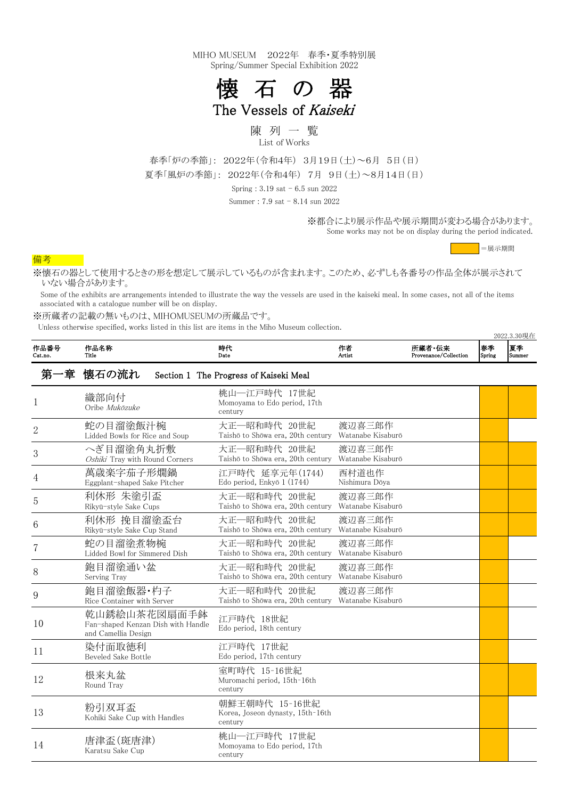Some works may not be on display during the period indicated.

## 備考

※所蔵者の記載の無いものは、MIHOMUSEUMの所蔵品です。

Unless otherwise specified, works listed in this list are items in the Miho Museum collection.

2022.3.30現在

| 作品番号<br>Cat.no. | 作品名称<br>Title                                                             | 時代<br>Date                                                          | 作者<br>Artist                | 所蔵者・伝来<br>Provenance/Collection | 春季<br>Spring | 夏季<br>Summer |
|-----------------|---------------------------------------------------------------------------|---------------------------------------------------------------------|-----------------------------|---------------------------------|--------------|--------------|
|                 | 第一章 懐石の流れ                                                                 | Section 1 The Progress of Kaiseki Meal                              |                             |                                 |              |              |
|                 | 織部向付<br>Oribe Mukōzuke                                                    | 桃山―江戸時代 17世紀<br>Momoyama to Edo period, 17th<br>century             |                             |                                 |              |              |
| $\overline{2}$  | 蛇の目溜塗飯汁椀<br>Lidded Bowls for Rice and Soup                                | 大正―昭和時代 20世紀<br>Taishō to Shōwa era, 20th century                   | 渡辺喜三郎作<br>Watanabe Kisaburō |                                 |              |              |
| 3               | へぎ目溜塗角丸折敷<br>Oshiki Tray with Round Corners                               | 大正―昭和時代 20世紀<br>Taishō to Shōwa era, 20th century                   | 渡辺喜三郎作<br>Watanabe Kisaburō |                                 |              |              |
| 4               | 萬歳楽字茄子形燗鍋<br>Eggplant-shaped Sake Pitcher                                 | 江戸時代 延享元年(1744)<br>Edo period, Enkyō 1 (1744)                       | 西村道也作<br>Nishimura Dōya     |                                 |              |              |
| 5               | 利休形 朱塗引盃<br>Rikyū-style Sake Cups                                         | 大正—昭和時代 20世紀<br>Taishō to Shōwa era, 20th century                   | 渡辺喜三郎作<br>Watanabe Kisaburō |                                 |              |              |
| 6               | 利休形 挽目溜塗盃台<br>Rikyū-style Sake Cup Stand                                  | 大正―昭和時代 20世紀<br>Taishō to Shōwa era, 20th century                   | 渡辺喜三郎作<br>Watanabe Kisaburō |                                 |              |              |
|                 | 蛇の目溜塗煮物椀<br>Lidded Bowl for Simmered Dish                                 | 大正―昭和時代 20世紀<br>Taishō to Shōwa era, 20th century                   | 渡辺喜三郎作<br>Watanabe Kisaburō |                                 |              |              |
| 8               | 鉋目溜塗通い盆<br>Serving Tray                                                   | 大正―昭和時代 20世紀<br>Taishō to Shōwa era, 20th century                   | 渡辺喜三郎作<br>Watanabe Kisaburō |                                 |              |              |
| 9               | 鉋目溜塗飯器·杓子<br>Rice Container with Server                                   | 大正―昭和時代 20世紀<br>Taishō to Shōwa era, 20th century Watanabe Kisaburō | 渡辺喜三郎作                      |                                 |              |              |
| 10              | 乾山銹絵山茶花図扇面手鉢<br>Fan-shaped Kenzan Dish with Handle<br>and Camellia Design | 江戸時代 18世紀<br>Edo period, 18th century                               |                             |                                 |              |              |
| 11              | 染付面取徳利<br>Beveled Sake Bottle                                             | 江戸時代 17世紀<br>Edo period, 17th century                               |                             |                                 |              |              |
| 12              | 根来丸盆<br>Round Tray                                                        | 室町時代 15-16世紀<br>Muromachi period, 15th-16th<br>century              |                             |                                 |              |              |
| 13              | 粉引双耳盃<br>Kohiki Sake Cup with Handles                                     | 朝鮮王朝時代 15-16世紀<br>Korea, Joseon dynasty, 15th-16th<br>century       |                             |                                 |              |              |
| 14              | 唐津盃(斑唐津)<br>Karatsu Sake Cup                                              | 桃山―江戸時代 17世紀<br>Momoyama to Edo period, 17th<br>century             |                             |                                 |              |              |

※懐石の器として使用するときの形を想定して展示しているものが含まれます。このため、必ずしも各番号の作品全体が展示されて いない場合があります。

 Some of the exhibits are arrangements intended to illustrate the way the vessels are used in the kaiseki meal. In some cases, not all of the items associated with a catalogue number will be on display.

春季「炉の季節」: 2022年(令和4年) 3月19日(土)~6月 5日(日) 夏季「風炉の季節」: 2022年(令和4年) 7月 9日(土)~8月14日(日)

Spring : 3.19 sat - 6.5 sun 2022

Summer : 7.9 sat - 8.14 sun 2022

※都合により展示作品や展示期間が変わる場合があります。

=展示期間

MIHO MUSEUM 2022年 春季・夏季特別展 Spring/Summer Special Exhibition 2022



The Vessels of Kaiseki

陳 列 一 覧 List of Works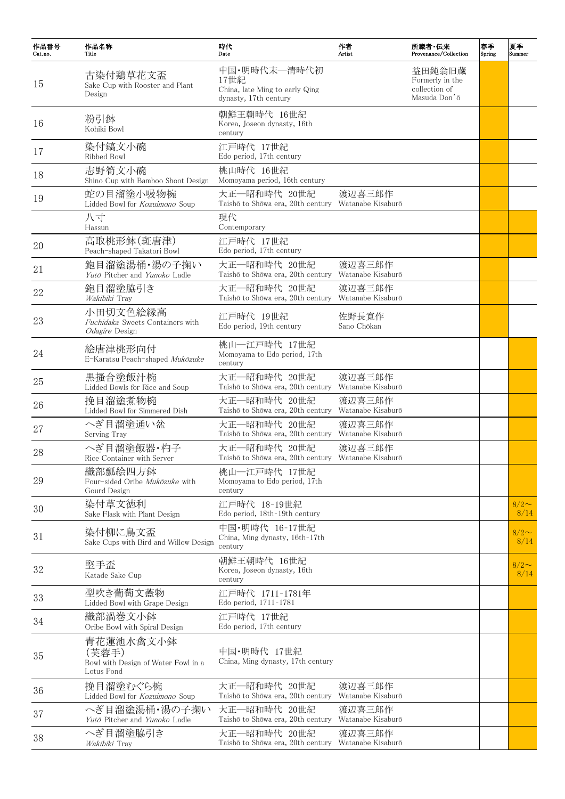| 作品番号<br>Cat.no. | 作品名称<br>Title                                                           | 時代<br>Date                                                                      | 作者<br>Artist                | 所蔵者·伝来<br>Provenance/Collection                            | 春季<br>Spring | 夏季<br>Summer    |
|-----------------|-------------------------------------------------------------------------|---------------------------------------------------------------------------------|-----------------------------|------------------------------------------------------------|--------------|-----------------|
| 15              | 古染付鶏草花文盃<br>Sake Cup with Rooster and Plant<br>Design                   | 中国・明時代末―清時代初<br>17世紀<br>China, late Ming to early Qing<br>dynasty, 17th century |                             | 益田鈍翁旧蔵<br>Formerly in the<br>collection of<br>Masuda Don'o |              |                 |
| 16              | 粉引鉢<br>Kohiki Bowl                                                      | 朝鮮王朝時代 16世紀<br>Korea, Joseon dynasty, 16th<br>century                           |                             |                                                            |              |                 |
| 17              | 染付鎬文小碗<br>Ribbed Bowl                                                   | 江戸時代 17世紀<br>Edo period, 17th century                                           |                             |                                                            |              |                 |
| 18              | 志野筍文小碗<br>Shino Cup with Bamboo Shoot Design                            | 桃山時代 16世紀<br>Momoyama period, 16th century                                      |                             |                                                            |              |                 |
| 19              | 蛇の目溜塗小吸物椀<br>Lidded Bowl for Kozuimono Soup                             | 大正一昭和時代 20世紀<br>Taishō to Shōwa era, 20th century                               | 渡辺喜三郎作<br>Watanabe Kisaburō |                                                            |              |                 |
|                 | 八寸<br>Hassun                                                            | 現代<br>Contemporary                                                              |                             |                                                            |              |                 |
| 20              | 高取桃形鉢(斑唐津)<br>Peach-shaped Takatori Bowl                                | 江戸時代 17世紀<br>Edo period, 17th century                                           |                             |                                                            |              |                 |
| 21              | 鉋目溜塗湯桶・湯の子掬い<br>Yutō Pitcher and Yunoko Ladle                           | 大正―昭和時代 20世紀<br>Taishō to Shōwa era, 20th century                               | 渡辺喜三郎作<br>Watanabe Kisaburō |                                                            |              |                 |
| 22              | 鉋目溜塗脇引き<br>Wakibiki Tray                                                | 大正—昭和時代 20世紀<br>Taishō to Shōwa era, 20th century Watanabe Kisaburō             | 渡辺喜三郎作                      |                                                            |              |                 |
| 23              | 小田切文色絵縁高<br>Fuchidaka Sweets Containers with<br><i>Odagire</i> Design   | 江戸時代 19世紀<br>Edo period, 19th century                                           | 佐野長寛作<br>Sano Chōkan        |                                                            |              |                 |
| 24              | 絵唐津桃形向付<br>E-Karatsu Peach-shaped Mukōzuke                              | 桃山―江戸時代 17世紀<br>Momoyama to Edo period, 17th<br>century                         |                             |                                                            |              |                 |
| 25              | 黒搔合塗飯汁椀<br>Lidded Bowls for Rice and Soup                               | 大正―昭和時代 20世紀<br>Taishō to Shōwa era, 20th century                               | 渡辺喜三郎作<br>Watanabe Kisaburō |                                                            |              |                 |
| 26              | 挽目溜塗煮物椀<br>Lidded Bowl for Simmered Dish                                | 大正—昭和時代 20世紀<br>Taishō to Shōwa era, 20th century                               | 渡辺喜三郎作<br>Watanabe Kisaburō |                                                            |              |                 |
| 27              | へぎ目溜塗通い盆<br>Serving Tray                                                | 大正―昭和時代 20世紀<br>Taishō to Shōwa era, 20th century                               | 渡辺喜三郎作<br>Watanabe Kisaburō |                                                            |              |                 |
| 28              | へぎ目溜塗飯器・杓子<br>Rice Container with Server                                | 大正―昭和時代 20世紀<br>Taishō to Shōwa era, 20th century                               | 渡辺喜三郎作<br>Watanabe Kisaburō |                                                            |              |                 |
| 29              | 織部瓢絵四方鉢<br>Four-sided Oribe Mukōzuke with<br>Gourd Design               | 桃山―江戸時代 17世紀<br>Momoyama to Edo period, 17th<br>century                         |                             |                                                            |              |                 |
| 30              | 染付草文徳利<br>Sake Flask with Plant Design                                  | 江戸時代 18-19世紀<br>Edo period, 18th-19th century                                   |                             |                                                            |              | $8/2$ ~<br>8/14 |
| 31              | 染付柳に鳥文盃<br>Sake Cups with Bird and Willow Design                        | 中国・明時代 16-17世紀<br>China, Ming dynasty, 16th-17th<br>century                     |                             |                                                            |              | $8/2$ ~<br>8/14 |
| 32              | 堅手盃<br>Katade Sake Cup                                                  | 朝鮮王朝時代 16世紀<br>Korea, Joseon dynasty, 16th<br>century                           |                             |                                                            |              | $8/2$ ~<br>8/14 |
| 33              | 型吹き葡萄文蓋物<br>Lidded Bowl with Grape Design                               | 江戸時代 1711-1781年<br>Edo period, 1711-1781                                        |                             |                                                            |              |                 |
| 34              | 織部渦巻文小鉢<br>Oribe Bowl with Spiral Design                                | 江戸時代 17世紀<br>Edo period, 17th century                                           |                             |                                                            |              |                 |
| 35              | 青花蓮池水禽文小鉢<br>(芙蓉手)<br>Bowl with Design of Water Fowl in a<br>Lotus Pond | 中国・明時代 17世紀<br>China, Ming dynasty, 17th century                                |                             |                                                            |              |                 |
| 36              | 挽目溜塗むぐら椀<br>Lidded Bowl for Kozuimono Soup                              | 大正―昭和時代 20世紀<br>Taishō to Shōwa era, 20th century                               | 渡辺喜三郎作<br>Watanabe Kisaburō |                                                            |              |                 |
| 37              | へぎ目溜塗湯桶・湯の子掬い<br>Yutō Pitcher and Yunoko Ladle                          | 大正―昭和時代 20世紀<br>Taishō to Shōwa era, 20th century                               | 渡辺喜三郎作<br>Watanabe Kisaburō |                                                            |              |                 |
| 38              | へぎ目溜塗脇引き<br>Wakibiki Tray                                               | 大正―昭和時代 20世紀<br>Taishō to Shōwa era, 20th century                               | 渡辺喜三郎作<br>Watanabe Kisaburō |                                                            |              |                 |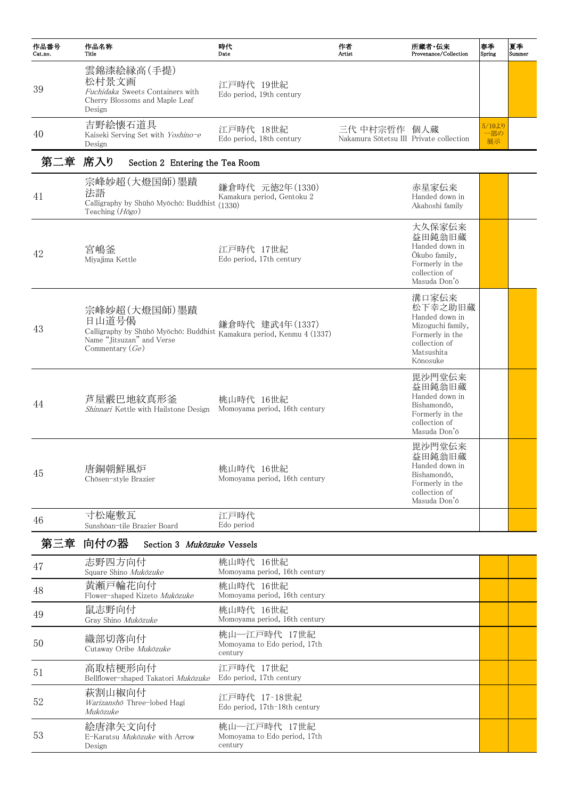| 作品番号<br>Cat.no. | 作品名称<br>Title                                                                                                                                    | 時代<br>Date                                    | 作者<br>Artist                                            | 所蔵者・伝来<br>Provenance/Collection                                                                                       | 春季<br>Spring       | 夏季<br>Summer |
|-----------------|--------------------------------------------------------------------------------------------------------------------------------------------------|-----------------------------------------------|---------------------------------------------------------|-----------------------------------------------------------------------------------------------------------------------|--------------------|--------------|
| 39              | 雲錦漆絵縁高(手提)<br>松村景文画<br>Fuchidaka Sweets Containers with<br>Cherry Blossoms and Maple Leaf<br>Design                                              | 江戸時代 19世紀<br>Edo period, 19th century         |                                                         |                                                                                                                       |                    |              |
| 40              | 吉野絵懐石道具<br>Kaiseki Serving Set with Yoshino-e<br>Design                                                                                          | 江戸時代 18世紀<br>Edo period, 18th century         | 三代 中村宗哲作 個人蔵<br>Nakamura Sōtetsu III Private collection |                                                                                                                       | 5/10J<br>一部の<br>展示 |              |
| 第二章 席入り         | Section 2 Entering the Tea Room                                                                                                                  |                                               |                                                         |                                                                                                                       |                    |              |
| 41              | 宗峰妙超(大燈国師)墨蹟<br>法語<br>Calligraphy by Shūhō Myōchō: Buddhist (1330)<br>Teaching $(H\bar{o}go)$                                                    | 鎌倉時代 元徳2年(1330)<br>Kamakura period, Gentoku 2 |                                                         | 赤星家伝来<br>Handed down in<br>Akahoshi family                                                                            |                    |              |
| 42              | 宮嶋釜<br>Miyajima Kettle                                                                                                                           | 江戸時代 17世紀<br>Edo period, 17th century         |                                                         | 大久保家伝来<br>益田鈍翁旧蔵<br>Handed down in<br>Okubo family,<br>Formerly in the<br>collection of<br>Masuda Don'ō               |                    |              |
| 43              | 宗峰妙超(大燈国師)墨蹟<br>日山道号偈<br>Calligraphy by Shūhō Myōchō: Buddhist Kamakura period, Kenmu 4 (1337)<br>Name "Jitsuzan" and Verse<br>Commentary $(Ge)$ | 鎌倉時代 建武4年(1337)                               |                                                         | 溝口家伝来<br>松下幸之助旧蔵<br>Handed down in<br>Mizoguchi family,<br>Formerly in the<br>collection of<br>Matsushita<br>Kōnosuke |                    |              |
| 44              | 芦屋霰巴地紋真形釜<br>Shinnari Kettle with Hailstone Design                                                                                               | 桃山時代 16世紀<br>Momoyama period, 16th century    |                                                         | 毘沙門堂伝来<br>益田鈍翁旧蔵<br>Handed down in<br>Bishamondō,<br>Formerly in the<br>collection of<br>Masuda Don'ō                 |                    |              |
| 45              | 唐銅朝鮮風炉<br>Chōsen-style Brazier                                                                                                                   | 桃山時代 16世紀<br>Momoyama period, 16th century    |                                                         | 毘沙門堂伝来<br>益田鈍翁旧蔵<br>Handed down in<br>Bishamondō,<br>Formerly in the<br>collection of<br>Masuda Don'ō                 |                    |              |

<sup>46</sup> 寸松庵敷瓦 Sunshōan-tile Brazier Board

江戸時代 Edo period

第三章 向付の器 Section 3 Mukōzuke Vessels

| 47 | 志野四方向付<br>Square Shino Mukōzuke                           | 桃山時代 16世紀<br>Momoyama period, 16th century              |  |
|----|-----------------------------------------------------------|---------------------------------------------------------|--|
| 48 | 黄瀬戸輪花向付<br>Flower-shaped Kizeto Mukōzuke                  | 桃山時代 16世紀<br>Momoyama period, 16th century              |  |
| 49 | 鼠志野向付<br>Gray Shino Mukōzuke                              | 桃山時代 16世紀<br>Momoyama period, 16th century              |  |
| 50 | 織部切落向付<br>Cutaway Oribe Mukōzuke                          | 桃山一江戸時代 17世紀<br>Momoyama to Edo period, 17th<br>century |  |
| 51 | 高取桔梗形向付<br>Bellflower-shaped Takatori Mukōzuke            | 江戸時代 17世紀<br>Edo period, 17th century                   |  |
| 52 | 萩割山椒向付<br>Warizanshō Three-lobed Hagi<br>Mukōzuke         | 江戸時代 17-18世紀<br>Edo period, 17th-18th century           |  |
| 53 | 絵唐津矢文向付<br>E-Karatsu <i>Mukōzuke</i> with Arrow<br>Design | 桃山一江戸時代 17世紀<br>Momoyama to Edo period, 17th<br>century |  |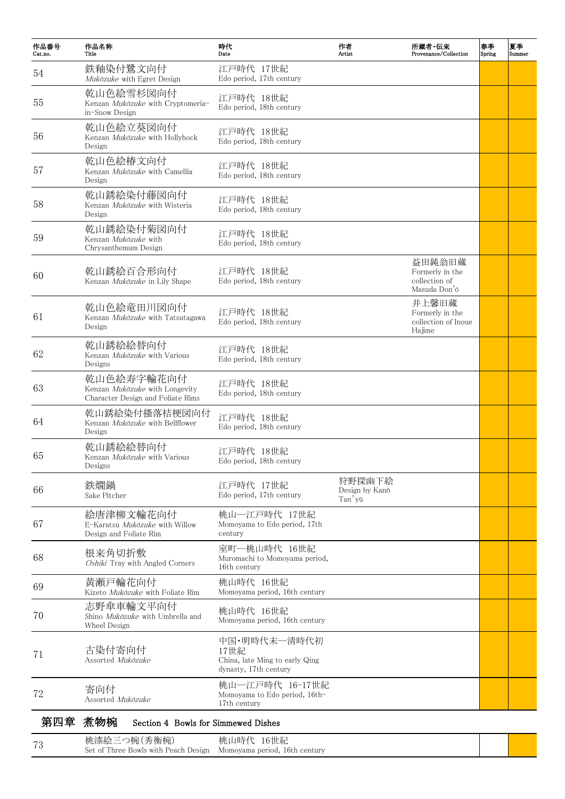| 作品番号<br>Cat.no. | 作品名称<br>Title                                                                     | 時代<br>Date                                                                      | 作者<br>Artist                       | 所蔵者·伝来<br>Provenance/Collection                            | 春季<br>Spring | 夏季<br>Summer |
|-----------------|-----------------------------------------------------------------------------------|---------------------------------------------------------------------------------|------------------------------------|------------------------------------------------------------|--------------|--------------|
| 54              | 鉄釉染付鷺文向付<br>Mukōzuke with Egret Design                                            | 江戸時代 17世紀<br>Edo period, 17th century                                           |                                    |                                                            |              |              |
| 55              | 乾山色絵雪杉図向付<br>Kenzan Mukōzuke with Cryptomeria-<br>in-Snow Design                  | 江戸時代 18世紀<br>Edo period, 18th century                                           |                                    |                                                            |              |              |
| 56              | 乾山色絵立葵図向付<br>Kenzan Mukōzuke with Hollyhock<br>Design                             | 江戸時代 18世紀<br>Edo period, 18th century                                           |                                    |                                                            |              |              |
| 57              | 乾山色絵椿文向付<br>Kenzan Mukōzuke with Camellia<br>Design                               | 江戸時代 18世紀<br>Edo period, 18th century                                           |                                    |                                                            |              |              |
| 58              | 乾山銹絵染付藤図向付<br>Kenzan Mukōzuke with Wisteria<br>Design                             | 江戸時代 18世紀<br>Edo period, 18th century                                           |                                    |                                                            |              |              |
| 59              | 乾山銹絵染付菊図向付<br>Kenzan Mukōzuke with<br>Chrysanthemum Design                        | 江戸時代 18世紀<br>Edo period, 18th century                                           |                                    |                                                            |              |              |
| 60              | 乾山銹絵百合形向付<br>Kenzan <i>Mukōzuke</i> in Lily Shape                                 | 江戸時代 18世紀<br>Edo period, 18th century                                           |                                    | 益田鈍翁旧蔵<br>Formerly in the<br>collection of<br>Masuda Don'ō |              |              |
| 61              | 乾山色絵竜田川図向付<br>Kenzan Mukōzuke with Tatsutagawa<br>Design                          | 江戸時代 18世紀<br>Edo period, 18th century                                           |                                    | 井上馨旧蔵<br>Formerly in the<br>collection of Inoue<br>Hajime  |              |              |
| 62              | 乾山銹絵絵替向付<br>Kenzan <i>Mukōzuke</i> with Various<br>Designs                        | 江戸時代 18世紀<br>Edo period, 18th century                                           |                                    |                                                            |              |              |
| 63              | 乾山色絵寿字輪花向付<br>Kenzan Mukōzuke with Longevity<br>Character Design and Foliate Rims | 江戸時代 18世紀<br>Edo period, 18th century                                           |                                    |                                                            |              |              |
| 64              | 乾山銹絵染付搔落桔梗図向付<br>Kenzan <i>Mukōzuke</i> with Bellflower<br>Design                 | 江戸時代 18世紀<br>Edo period, 18th century                                           |                                    |                                                            |              |              |
| 65              | 乾山銹絵絵替向付<br>Kenzan <i>Mukōzuke</i> with Various<br>Designs                        | 江戸時代 18世紀<br>Edo period, 18th century                                           |                                    |                                                            |              |              |
| 66              | 鉄燗鍋<br>Sake Pitcher                                                               | 江戸時代 17世紀<br>Edo period, 17th century                                           | 狩野探幽下絵<br>Design by Kanō<br>Tan'yū |                                                            |              |              |
| 67              | 絵唐津柳文輪花向付<br>E-Karatsu <i>Mukōzuke</i> with Willow<br>Design and Foliate Rim      | 桃山―江戸時代 17世紀<br>Momoyama to Edo period, 17th<br>century                         |                                    |                                                            |              |              |
| 68              | 根来角切折敷<br>Oshiki Tray with Angled Corners                                         | 室町–桃山時代 16世紀<br>Muromachi to Momoyama period,<br>16th century                   |                                    |                                                            |              |              |
| 69              | 黄瀬戸輪花向付<br>Kizeto Mukōzuke with Foliate Rim                                       | 桃山時代 16世紀<br>Momoyama period, 16th century                                      |                                    |                                                            |              |              |
| 70              | 志野傘車輪文平向付<br>Shino <i>Mukōzuke</i> with Umbrella and<br>Wheel Design              | 桃山時代 16世紀<br>Momoyama period, 16th century                                      |                                    |                                                            |              |              |
| 71              | 古染付寄向付<br>Assorted Mukōzuke                                                       | 中国·明時代末–清時代初<br>17世紀<br>China, late Ming to early Qing<br>dynasty, 17th century |                                    |                                                            |              |              |
| 72              | 寄向付<br>Assorted Mukōzuke                                                          | 桃山―江戸時代 16-17世紀<br>Momoyama to Edo period, 16th-<br>17th century                |                                    |                                                            |              |              |
| 第四章             | 煮物椀<br>Section 4 Bowls for Simmewed Dishes                                        |                                                                                 |                                    |                                                            |              |              |

| 70 | 桃漆絵三つ椀(秀衡椀)<br>Set of Three Bowls with Peach Design Momoyama period, 16th century | 桃山時代<br>16世紀 |  |
|----|-----------------------------------------------------------------------------------|--------------|--|
|    |                                                                                   |              |  |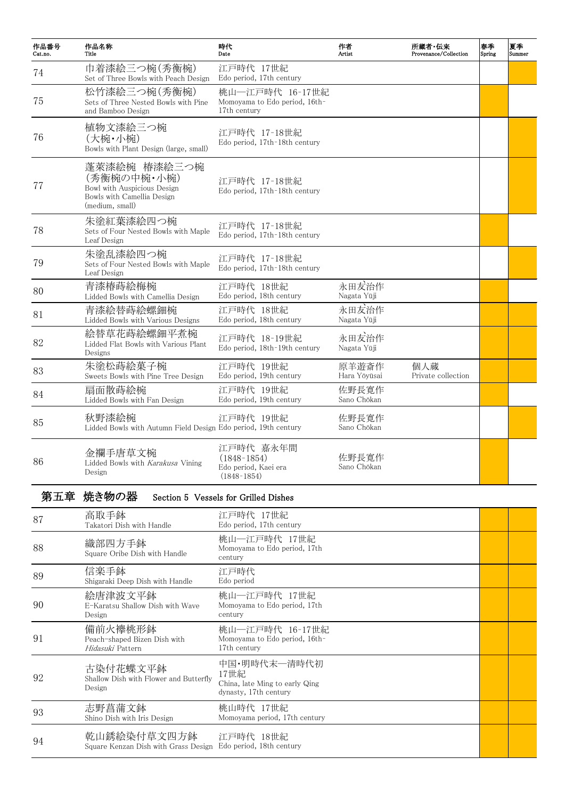| 作品番号<br>Cat.no. | 作品名称<br>Title                                                                                               | 時代<br>Date                                                          | 作者<br>Artist          | 所蔵者・伝来<br>Provenance/Collection | 春季<br>Spring | 夏季<br>Summer |
|-----------------|-------------------------------------------------------------------------------------------------------------|---------------------------------------------------------------------|-----------------------|---------------------------------|--------------|--------------|
| 74              | 巾着漆絵三つ椀(秀衡椀)<br>Set of Three Bowls with Peach Design                                                        | 江戸時代 17世紀<br>Edo period, 17th century                               |                       |                                 |              |              |
| 75              | 松竹漆絵三つ椀(秀衡椀)<br>Sets of Three Nested Bowls with Pine<br>and Bamboo Design                                   | 桃山―江戸時代 16-17世紀<br>Momoyama to Edo period, 16th-<br>17th century    |                       |                                 |              |              |
| 76              | 植物文漆絵三つ椀<br>(大椀・小椀)<br>Bowls with Plant Design (large, small)                                               | 江戸時代 17-18世紀<br>Edo period, 17th-18th century                       |                       |                                 |              |              |
| 77              | 蓬萊漆絵椀 椿漆絵三つ椀<br>(秀衡椀の中椀・小椀)<br>Bowl with Auspicious Design<br>Bowls with Camellia Design<br>(medium, small) | 江戸時代 17-18世紀<br>Edo period, 17th-18th century                       |                       |                                 |              |              |
| 78              | 朱塗紅葉漆絵四つ椀<br>Sets of Four Nested Bowls with Maple<br>Leaf Design                                            | 江戸時代 17-18世紀<br>Edo period, 17th-18th century                       |                       |                                 |              |              |
| 79              | 朱塗乱漆絵四つ椀<br>Sets of Four Nested Bowls with Maple<br>Leaf Design                                             | 江戸時代 17-18世紀<br>Edo period, 17th-18th century                       |                       |                                 |              |              |
| 80              | 青漆椿蒔絵梅椀<br>Lidded Bowls with Camellia Design                                                                | 江戸時代 18世紀<br>Edo period, 18th century                               | 永田友治作<br>Nagata Yūji  |                                 |              |              |
| 81              | 青漆絵替蒔絵螺鈿椀<br>Lidded Bowls with Various Designs                                                              | 江戸時代 18世紀<br>Edo period, 18th century                               | 永田友治作<br>Nagata Yūji  |                                 |              |              |
| 82              | 絵替草花蒔絵螺鈿平煮椀<br>Lidded Flat Bowls with Various Plant<br>Designs                                              | 江戸時代 18-19世紀<br>Edo period, 18th-19th century                       | 永田友治作<br>Nagata Yūji  |                                 |              |              |
| 83              | 朱塗松蒔絵菓子椀<br>Sweets Bowls with Pine Tree Design                                                              | 江戸時代 19世紀<br>Edo period, 19th century                               | 原羊遊斎作<br>Hara Yōyūsai | 個人蔵<br>Private collection       |              |              |
| 84              | 扇面散蒔絵椀<br>Lidded Bowls with Fan Design                                                                      | 江戸時代 19世紀<br>Edo period, 19th century                               | 佐野長寛作<br>Sano Chōkan  |                                 |              |              |
| 85              | 秋野漆絵椀<br>Lidded Bowls with Autumn Field Design Edo period, 19th century                                     | 江戸時代 19世紀                                                           | 佐野長寛作<br>Sano Chōkan  |                                 |              |              |
| 86              | 金襴手唐草文椀<br>Lidded Bowls with Karakusa Vining<br>Design                                                      | 江戸時代 嘉永年間<br>$(1848-1854)$<br>Edo period, Kaei era<br>$(1848-1854)$ | 佐野長寛作<br>Sano Chōkan  |                                 |              |              |

第五章 焼き物の器 Section 5 Vessels for Grilled Dishes

| 87 | 高取手鉢<br>Takatori Dish with Handle                            | 江戸時代 17世紀<br>Edo period, 17th century                                           |  |
|----|--------------------------------------------------------------|---------------------------------------------------------------------------------|--|
| 88 | 織部四方手鉢<br>Square Oribe Dish with Handle                      | 桃山一江戸時代 17世紀<br>Momoyama to Edo period, 17th<br>century                         |  |
| 89 | 信楽手鉢<br>Shigaraki Deep Dish with Handle                      | 江戸時代<br>Edo period                                                              |  |
| 90 | 絵唐津波文平鉢<br>E-Karatsu Shallow Dish with Wave<br>Design        | 桃山―江戸時代 17世紀<br>Momoyama to Edo period, 17th<br>century                         |  |
| 91 | 備前火襷桃形鉢<br>Peach-shaped Bizen Dish with<br>Hidasuki Pattern  | 桃山―江戸時代 16-17世紀<br>Momoyama to Edo period, 16th-<br>17th century                |  |
| 92 | 古染付花蝶文平鉢<br>Shallow Dish with Flower and Butterfly<br>Design | 中国・明時代末―清時代初<br>17世紀<br>China, late Ming to early Qing<br>dynasty, 17th century |  |
| 93 | 志野菖蒲文鉢<br>Shino Dish with Iris Design                        | 桃山時代 17世紀<br>Momoyama period, 17th century                                      |  |
| 94 | 乾山銹絵染付草文四方鉢<br>Square Kenzan Dish with Grass Design          | 江戸時代 18世紀<br>Edo period, 18th century                                           |  |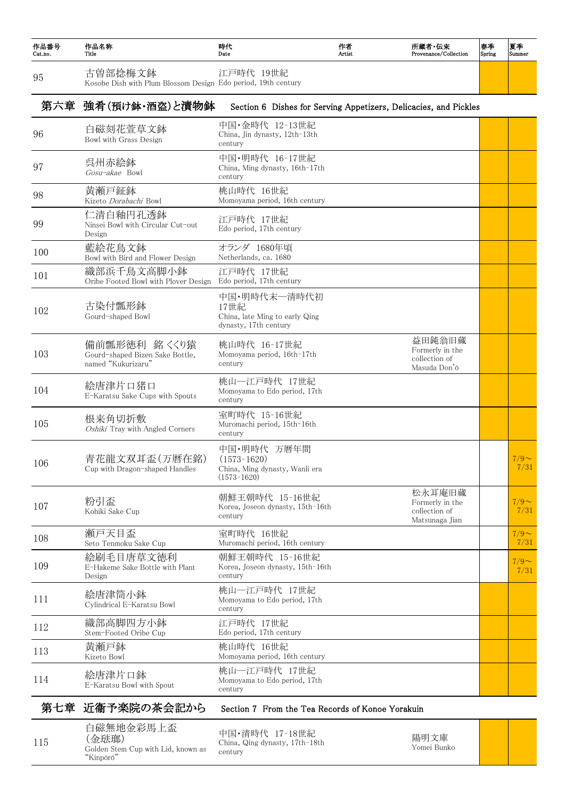| 作品番号<br>Cat.no. | 作品名称<br>Title                                                            | 時代<br>Date                                                                        | 作者<br>Artist | 所蔵者・伝来<br>Provenance/Collection                              | 春季<br>Spring | 夏季<br>Summer    |
|-----------------|--------------------------------------------------------------------------|-----------------------------------------------------------------------------------|--------------|--------------------------------------------------------------|--------------|-----------------|
| 95              | 古曽部捻梅文鉢<br>Kosobe Dish with Plum Blossom Design Edo period, 19th century | 江戸時代 19世紀                                                                         |              |                                                              |              |                 |
|                 | 第六章 強肴(預け鉢・酒盗)と漬物鉢                                                       | Section 6 Dishes for Serving Appetizers, Delicacies, and Pickles                  |              |                                                              |              |                 |
| 96              | 白磁刻花萱草文鉢<br>Bowl with Grass Design                                       | 中国・金時代 12-13世紀<br>China, Jin dynasty, 12th-13th<br>century                        |              |                                                              |              |                 |
| 97              | 呉州赤絵鉢<br>Gosu-akae Bowl                                                  | 中国·明時代 16-17世紀<br>China, Ming dynasty, 16th-17th<br>century                       |              |                                                              |              |                 |
| 98              | 黄瀬戸鉦鉢<br>Kizeto Dorabachi Bowl                                           | 桃山時代 16世紀<br>Momoyama period, 16th century                                        |              |                                                              |              |                 |
| 99              | 仁清白釉円孔透鉢<br>Ninsei Bowl with Circular Cut-out<br>Design                  | 江戸時代 17世紀<br>Edo period, 17th century                                             |              |                                                              |              |                 |
| 100             | 藍絵花鳥文鉢<br>Bowl with Bird and Flower Design                               | オランダ 1680年頃<br>Netherlands, ca. 1680                                              |              |                                                              |              |                 |
| 101             | 織部浜千鳥文高脚小鉢<br>Oribe Footed Bowl with Plover Design                       | 江戸時代 17世紀<br>Edo period, 17th century                                             |              |                                                              |              |                 |
| 102             | 古染付瓢形鉢<br>Gourd-shaped Bowl                                              | 中国·明時代末一清時代初<br>17世紀<br>China, late Ming to early Qing<br>dynasty, 17th century   |              |                                                              |              |                 |
| 103             | 備前瓢形徳利 銘 くくり猿<br>Gourd-shaped Bizen Sake Bottle,<br>named "Kukurizaru"   | 桃山時代 16-17世紀<br>Momoyama period, 16th-17th<br>century                             |              | 益田鈍翁旧蔵<br>Formerly in the<br>collection of<br>Masuda Don'ō   |              |                 |
| 104             | 絵唐津片口猪口<br>E-Karatsu Sake Cups with Spouts                               | 桃山―江戸時代 17世紀<br>Momoyama to Edo period, 17th<br>century                           |              |                                                              |              |                 |
| 105             | 根来角切折敷<br>Oshiki Tray with Angled Corners                                | 室町時代 15-16世紀<br>Muromachi period, 15th-16th<br>century                            |              |                                                              |              |                 |
| 106             | 青花龍文双耳盃(万暦在銘)<br>Cup with Dragon-shaped Handles                          | 中国・明時代 万暦年間<br>$(1573-1620)$<br>China, Ming dynasty, Wanli era<br>$(1573 - 1620)$ |              |                                                              |              | $7/9$ ~<br>7/31 |
| 107             | 粉引盃<br>Kohiki Sake Cup                                                   | 朝鮮王朝時代 15-16世紀<br>Korea, Joseon dynasty, 15th-16th<br>century                     |              | 松永耳庵旧蔵<br>Formerly in the<br>collection of<br>Matsunaga Jian |              | $7/9$ ~<br>7/31 |
| 108             | 瀬戸天目盃<br>Seto Tenmoku Sake Cup                                           | 室町時代 16世紀<br>Muromachi period, 16th century                                       |              |                                                              |              | $7/9$ ~<br>7/31 |
| 109             | 絵刷毛目唐草文徳利<br>E-Hakeme Sake Bottle with Plant<br>Design                   | 朝鮮王朝時代 15-16世紀<br>Korea, Joseon dynasty, 15th-16th<br>century                     |              |                                                              |              | $7/9$ ~<br>7/31 |
| 111             | 絵唐津筒小鉢<br>Cylindrical E-Karatsu Bowl                                     | 桃山―江戸時代 17世紀<br>Momoyama to Edo period, 17th<br>century                           |              |                                                              |              |                 |
| 112             | 織部高脚四方小鉢<br>Stem-Footed Oribe Cup                                        | 江戸時代 17世紀<br>Edo period, 17th century                                             |              |                                                              |              |                 |
| 113             | 黄瀬戸鉢<br>Kizeto Bowl                                                      | 桃山時代 16世紀<br>Momoyama period, 16th century                                        |              |                                                              |              |                 |
| 114             | 絵唐津片口鉢<br>E-Karatsu Bowl with Spout                                      | 桃山―江戸時代 17世紀<br>Momoyama to Edo period, 17th<br>century                           |              |                                                              |              |                 |
|                 | 第七章 近衞予楽院の茶会記から                                                          | Section 7 From the Tea Records of Konoe Yorakuin                                  |              |                                                              |              |                 |
| 115             | 白磁無地金彩馬上盃<br>(金琺瑯)<br>Golden Stem Cup with Lid, known as<br>"Kinpōrō"    | 中国·清時代 17-18世紀<br>China, Qing dynasty, 17th-18th<br>century                       |              | 陽明文庫<br>Yomei Bunko                                          |              |                 |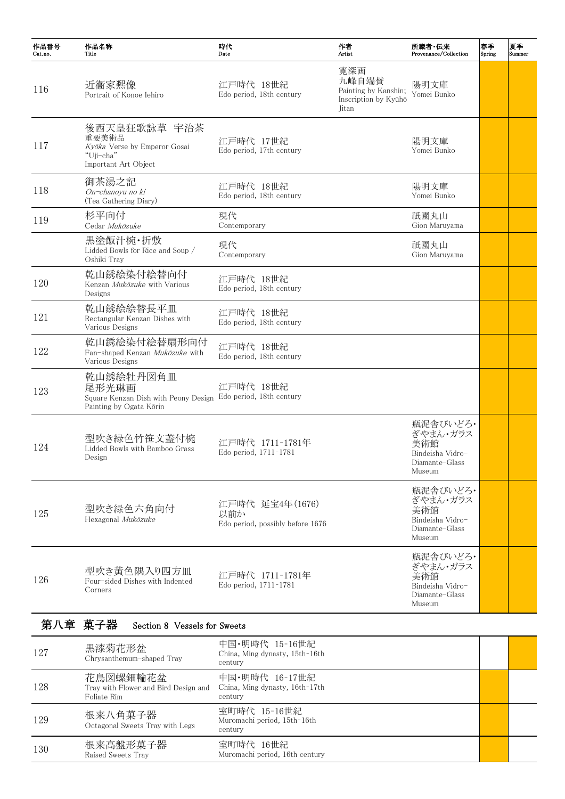| 作品番号<br>Cat.no. | 作品名称<br>Title                                                                              | 時代<br>Date                                                  | 作者<br>Artist                                                          | 所蔵者·伝来<br>Provenance/Collection                                             | 春季<br>Spring | 夏季<br>Summer |
|-----------------|--------------------------------------------------------------------------------------------|-------------------------------------------------------------|-----------------------------------------------------------------------|-----------------------------------------------------------------------------|--------------|--------------|
| 116             | 近衞家凞像<br>Portrait of Konoe Iehiro                                                          | 江戸時代 18世紀<br>Edo period, 18th century                       | 寬深画<br>九峰自端賛<br>Painting by Kanshin;<br>Inscription by Kyūhō<br>Jitan | 陽明文庫<br>Yomei Bunko                                                         |              |              |
| 117             | 後西天皇狂歌詠草 宇治茶<br>重要美術品<br>Kyōka Verse by Emperor Gosai<br>"Uji-cha"<br>Important Art Object | 江戸時代 17世紀<br>Edo period, 17th century                       |                                                                       | 陽明文庫<br>Yomei Bunko                                                         |              |              |
| 118             | 御茶湯之記<br>On-chanoyu no ki<br>(Tea Gathering Diary)                                         | 江戸時代 18世紀<br>Edo period, 18th century                       |                                                                       | 陽明文庫<br>Yomei Bunko                                                         |              |              |
| 119             | 杉平向付<br>Cedar Mukōzuke                                                                     | 現代<br>Contemporary                                          |                                                                       | 祇園丸山<br>Gion Maruyama                                                       |              |              |
|                 | 黒塗飯汁椀・折敷<br>Lidded Bowls for Rice and Soup /<br>Oshiki Tray                                | 現代<br>Contemporary                                          |                                                                       | 祇園丸山<br>Gion Maruyama                                                       |              |              |
| 120             | 乾山銹絵染付絵替向付<br>Kenzan Mukōzuke with Various<br>Designs                                      | 江戸時代 18世紀<br>Edo period, 18th century                       |                                                                       |                                                                             |              |              |
| 121             | 乾山銹絵絵替長平皿<br>Rectangular Kenzan Dishes with<br>Various Designs                             | 江戸時代 18世紀<br>Edo period, 18th century                       |                                                                       |                                                                             |              |              |
| 122             | 乾山銹絵染付絵替扇形向付<br>Fan-shaped Kenzan Mukōzuke with<br>Various Designs                         | 江戸時代 18世紀<br>Edo period, 18th century                       |                                                                       |                                                                             |              |              |
| 123             | 乾山銹絵牡丹図角皿<br>尾形光琳画<br>Square Kenzan Dish with Peony Design<br>Painting by Ogata Kōrin      | 江戸時代 18世紀<br>Edo period, 18th century                       |                                                                       |                                                                             |              |              |
| 124             | 型吹き緑色竹笹文蓋付椀<br>Lidded Bowls with Bamboo Grass<br>Design                                    | 江戸時代 1711-1781年<br>Edo period, 1711-1781                    |                                                                       | 瓶泥舎びいどろ・<br>ぎやまん・ガラス<br>美術館<br>Bindeisha Vidro-<br>Diamante-Glass<br>Museum |              |              |
| 125             | 型吹き緑色六角向付<br>Hexagonal Mukōzuke                                                            | 江戸時代 延宝4年(1676)<br>以前か<br>Edo period, possibly before 1676  |                                                                       | 瓶泥舎びいどろ・<br>ぎやまん・ガラス<br>美術館<br>Bindeisha Vidro-<br>Diamante-Glass<br>Museum |              |              |
| 126             | 型吹き黄色隅入り四方皿<br>Four-sided Dishes with Indented<br>Corners                                  | 江戸時代 1711-1781年<br>Edo period, 1711-1781                    |                                                                       | 瓶泥舎びいどろ·<br>ぎやまん・ガラス<br>美術館<br>Bindeisha Vidro-<br>Diamante-Glass<br>Museum |              |              |
|                 | 第八章 菓子器<br>Section 8 Vessels for Sweets                                                    |                                                             |                                                                       |                                                                             |              |              |
| 127             | 黒漆菊花形盆<br>Chrysanthemum-shaped Tray                                                        | 中国・明時代 15-16世紀<br>China, Ming dynasty, 15th-16th<br>century |                                                                       |                                                                             |              |              |
| 128             | 花鳥図螺鈿輪花盆<br>Tray with Flower and Bird Design and<br>Foliate Rim                            | 中国・明時代 16-17世紀<br>China, Ming dynasty, 16th-17th<br>century |                                                                       |                                                                             |              |              |
| 129             | 根来八角菓子器<br>Octagonal Sweets Tray with Legs                                                 | 室町時代 15-16世紀<br>Muromachi period, 15th-16th<br>century      |                                                                       |                                                                             |              |              |
| 130             | 根来高盤形菓子器<br>Raised Sweets Tray                                                             | 室町時代 16世紀<br>Muromachi period, 16th century                 |                                                                       |                                                                             |              |              |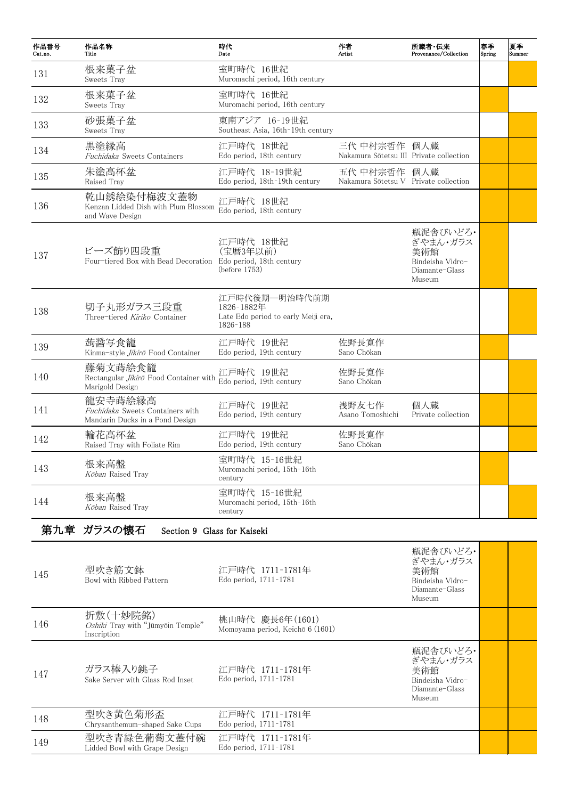| 作品番号<br>Cat.no. | 作品名称<br>Title                                                                  | 時代<br>Date                                                                      | 作者<br>Artist                                            | 所蔵者·伝来<br>Provenance/Collection                                             | 春季<br>Spring | 夏季<br>Summer |
|-----------------|--------------------------------------------------------------------------------|---------------------------------------------------------------------------------|---------------------------------------------------------|-----------------------------------------------------------------------------|--------------|--------------|
| 131             | 根来菓子盆<br>Sweets Tray                                                           | 室町時代 16世紀<br>Muromachi period, 16th century                                     |                                                         |                                                                             |              |              |
| 132             | 根来菓子盆<br>Sweets Tray                                                           | 室町時代 16世紀<br>Muromachi period, 16th century                                     |                                                         |                                                                             |              |              |
| 133             | 砂張菓子盆<br>Sweets Tray                                                           | 東南アジア 16-19世紀<br>Southeast Asia, 16th-19th century                              |                                                         |                                                                             |              |              |
| 134             | 黒塗縁高<br>Fuchidaka Sweets Containers                                            | 江戸時代 18世紀<br>Edo period, 18th century                                           | 三代 中村宗哲作 個人蔵<br>Nakamura Sōtetsu III Private collection |                                                                             |              |              |
| 135             | 朱塗高杯盆<br>Raised Tray                                                           | 江戸時代 18-19世紀<br>Edo period, 18th-19th century                                   | 五代 中村宗哲作 個人蔵<br>Nakamura Sōtetsu V Private collection   |                                                                             |              |              |
| 136             | 乾山銹絵染付梅波文蓋物<br>Kenzan Lidded Dish with Plum Blossom<br>and Wave Design         | 江戸時代 18世紀<br>Edo period, 18th century                                           |                                                         |                                                                             |              |              |
| 137             | ビーズ飾り四段重<br>Four-tiered Box with Bead Decoration                               | 江戸時代 18世紀<br>(宝暦3年以前)<br>Edo period, 18th century<br>(before 1753)              |                                                         | 瓶泥舎びいどろ・<br>ぎやまん・ガラス<br>美術館<br>Bindeisha Vidro-<br>Diamante-Glass<br>Museum |              |              |
| 138             | 切子丸形ガラス三段重<br>Three-tiered Kiriko Container                                    | 江戸時代後期––明治時代前期<br>1826-1882年<br>Late Edo period to early Meiji era,<br>1826-188 |                                                         |                                                                             |              |              |
| 139             | 蒟醤写食籠<br>Kinma-style <i>Jikirō</i> Food Container                              | 江戸時代 19世紀<br>Edo period, 19th century                                           | 佐野長寛作<br>Sano Chōkan                                    |                                                                             |              |              |
| 140             | 藤菊文蒔絵食籠<br>Rectangular <i>Jikirō</i> Food Container with<br>Marigold Design    | 江戸時代 19世紀<br>Edo period, 19th century                                           | 佐野長寛作<br>Sano Chōkan                                    |                                                                             |              |              |
| 141             | 龍安寺蒔絵縁高<br>Fuchidaka Sweets Containers with<br>Mandarin Ducks in a Pond Design | 江戸時代 19世紀<br>Edo period, 19th century                                           | 浅野友七作<br>Asano Tomoshichi                               | 個人蔵<br>Private collection                                                   |              |              |
| 142             | 輪花高杯盆<br>Raised Tray with Foliate Rim                                          | 江戸時代 19世紀<br>Edo period, 19th century                                           | 佐野長寛作<br>Sano Chōkan                                    |                                                                             |              |              |
| 143             | 根来高盤<br>Kōban Raised Tray                                                      | 室町時代 15-16世紀<br>Muromachi period, 15th-16th<br>century                          |                                                         |                                                                             |              |              |
| 144             | 根来高盤<br>Koban Raised Tray                                                      | 室町時代 15-16世紀<br>Muromachi period, 15th-16th<br>century                          |                                                         |                                                                             |              |              |
|                 | 第九章 ガラスの懐石<br>Section 9 Glass for Kaiseki                                      |                                                                                 |                                                         |                                                                             |              |              |
| 145             | 型吹き筋文鉢<br>Bowl with Ribbed Pattern                                             | 江戸時代 1711-1781年<br>Edo period, 1711-1781                                        |                                                         | 瓶泥舎びいどろ·<br>ぎやまん・ガラス<br>美術館<br>Bindeisha Vidro-<br>Diamante-Glass<br>Museum |              |              |
| 146             | 折敷(十妙院銘)<br>Oshiki Tray with "Jūmyōin Temple"<br>Inscription                   | 桃山時代 慶長6年(1601)<br>Momoyama period, Keichō 6 (1601)                             |                                                         |                                                                             |              |              |
| 147             | ガラス棒入り銚子<br>Sake Server with Glass Rod Inset                                   | 江戸時代 1711-1781年<br>Edo period, 1711-1781                                        |                                                         | 瓶泥舎びいどろ・<br>ぎやまん・ガラス<br>美術館<br>Bindeisha Vidro-<br>Diamante-Glass<br>Museum |              |              |
| 148             | 型吹き黄色菊形盃<br>Chrysanthemum-shaped Sake Cups                                     | 江戸時代 1711-1781年<br>Edo period, 1711-1781                                        |                                                         |                                                                             |              |              |
| 149             | 型吹き青緑色葡萄文蓋付碗<br>Lidded Bowl with Grape Design                                  | 江戸時代 1711-1781年<br>Edo period, 1711-1781                                        |                                                         |                                                                             |              |              |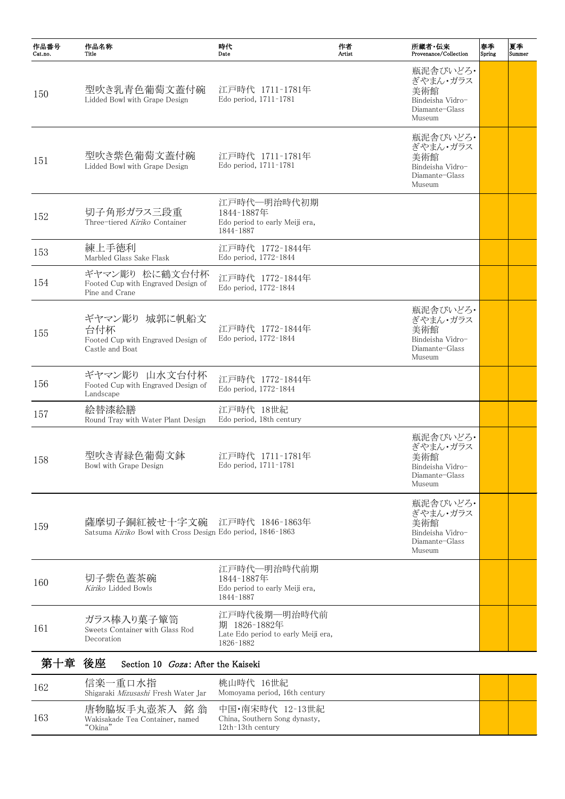159 **薩摩切子銅紅被せ十字文碗**<br>Satsuma Kiriko Bowl with Cross Design 江戸時代 1846–1863年 Edo period, 1846–1863

| 作品番号<br>Cat.no. | 作品名称<br>Title                                                                 | 時代<br>Date                                                               | 作者<br>Artist | 所蔵者·伝来<br>Provenance/Collection                                             | 春季<br>Spring | 夏季<br>Summer |
|-----------------|-------------------------------------------------------------------------------|--------------------------------------------------------------------------|--------------|-----------------------------------------------------------------------------|--------------|--------------|
| 150             | 型吹き乳青色葡萄文蓋付碗<br>Lidded Bowl with Grape Design                                 | 江戸時代 1711-1781年<br>Edo period, 1711-1781                                 |              | 瓶泥舎びいどろ·<br>ぎやまん・ガラス<br>美術館<br>Bindeisha Vidro-<br>Diamante-Glass<br>Museum |              |              |
| 151             | 型吹き紫色葡萄文蓋付碗<br>Lidded Bowl with Grape Design                                  | 江戸時代 1711-1781年<br>Edo period, 1711-1781                                 |              | 瓶泥舎びいどろ・<br>ぎやまん・ガラス<br>美術館<br>Bindeisha Vidro-<br>Diamante-Glass<br>Museum |              |              |
| 152             | 切子角形ガラス三段重<br>Three-tiered Kiriko Container                                   | 江戸時代一明治時代初期<br>1844-1887年<br>Edo period to early Meiji era,<br>1844-1887 |              |                                                                             |              |              |
| 153             | 練上手徳利<br>Marbled Glass Sake Flask                                             | 江戸時代 1772-1844年<br>Edo period, 1772-1844                                 |              |                                                                             |              |              |
| 154             | ギヤマン彫り 松に鶴文台付杯<br>Footed Cup with Engraved Design of<br>Pine and Crane        | 江戸時代 1772-1844年<br>Edo period, 1772-1844                                 |              |                                                                             |              |              |
| 155             | ギヤマン彫り 城郭に帆船文<br>台付杯<br>Footed Cup with Engraved Design of<br>Castle and Boat | 江戸時代 1772-1844年<br>Edo period, 1772-1844                                 |              | 瓶泥舎びいどろ・<br>ぎやまん・ガラス<br>美術館<br>Bindeisha Vidro-<br>Diamante-Glass<br>Museum |              |              |
| 156             | ギヤマン彫り 山水文台付杯<br>Footed Cup with Engraved Design of<br>Landscape              | 江戸時代 1772-1844年<br>Edo period, 1772-1844                                 |              |                                                                             |              |              |
| 157             | 絵替漆絵膳<br>Round Tray with Water Plant Design                                   | 江戸時代 18世紀<br>Edo period, 18th century                                    |              |                                                                             |              |              |
| 158             | 型吹き青緑色葡萄文鉢<br>Bowl with Grape Design                                          | 江戸時代 1711-1781年<br>Edo period, 1711-1781                                 |              | 瓶泥舎びいどろ・<br>ぎやまん・ガラス<br>美術館<br>Bindeisha Vidro-<br>Diamante-Glass<br>Museum |              |              |
|                 |                                                                               |                                                                          |              | 瓶泥舎びいどろ・                                                                    |              |              |

ぎやまん・ガラス 美術館 Bindeisha Vidro-Diamante-Glass Museum

| 160    | 切子紫色蓋茶碗<br>Kiriko Lidded Bowls                              | 江戸時代一明治時代前期<br>1844-1887年<br>Edo period to early Meiji era,<br>1844-1887         |  |
|--------|-------------------------------------------------------------|----------------------------------------------------------------------------------|--|
| 161    | ガラス棒入り菓子簞笥<br>Sweets Container with Glass Rod<br>Decoration | 江戸時代後期―明治時代前<br>期 1826-1882年<br>Late Edo period to early Meiji era,<br>1826-1882 |  |
| 第十章 後座 | Section 10 <i>Goza</i> : After the Kaiseki                  |                                                                                  |  |
| 162    | 信楽一重口水指<br>Shigaraki Mizusashi Fresh Water Jar              | 桃山時代 16世紀<br>Momoyama period, 16th century                                       |  |
| 163    | 唐物脇坂手丸壺茶入 銘 翁<br>Wakisakade Tea Container, named            | 中国・南宋時代 12-13世紀<br>China, Southern Song dynasty,                                 |  |

"Okina"

12th–13th century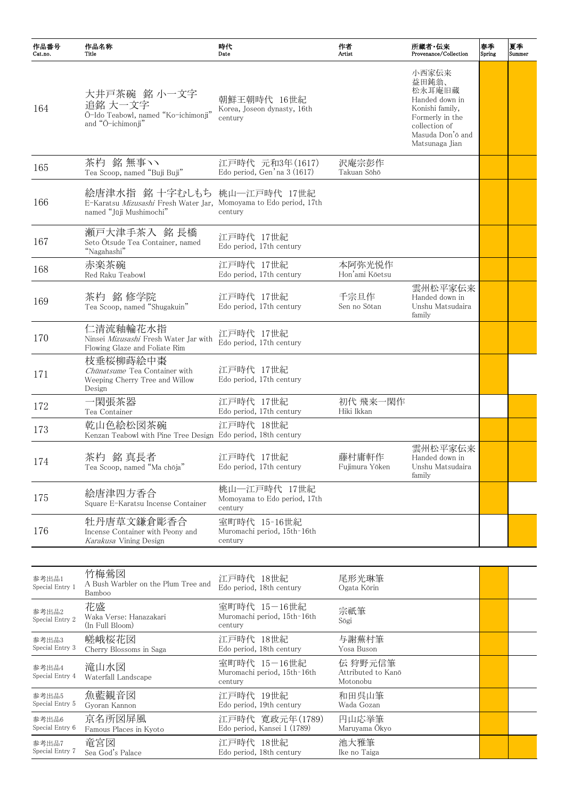| 作品番号<br>Cat.no. | 作品名称<br>Title                                                                                                               | 時代<br>Date                                              | 作者<br>Artist             | 所蔵者·伝来<br>Provenance/Collection                                                                                                         | 春季<br>Spring | 夏季<br>Summer |
|-----------------|-----------------------------------------------------------------------------------------------------------------------------|---------------------------------------------------------|--------------------------|-----------------------------------------------------------------------------------------------------------------------------------------|--------------|--------------|
| 164             | 大井戸茶碗 銘 小一文字<br>追銘 大一文字<br>Ō-Ido Teabowl, named "Ko-ichimonji"<br>and "Ō-ichimonji"                                         | 朝鮮王朝時代 16世紀<br>Korea, Joseon dynasty, 16th<br>century   |                          | 小西家伝来<br>益田鈍翁、<br>松永耳庵旧蔵<br>Handed down in<br>Konishi family,<br>Formerly in the<br>collection of<br>Masuda Don'o and<br>Matsunaga Jian |              |              |
| 165             | 茶杓 銘 無事ヽヽ<br>Tea Scoop, named "Buji Buji"                                                                                   | 江戸時代 元和3年(1617)<br>Edo period, Gen'na 3 (1617)          | 沢庵宗彭作<br>Takuan Sōhō     |                                                                                                                                         |              |              |
| 166             | 絵唐津水指 銘 十字むしもち 桃山一江戸時代 17世紀<br>E-Karatsu Mizusashi Fresh Water Jar, Momoyama to Edo period, 17th<br>named "Jūji Mushimochi" | century                                                 |                          |                                                                                                                                         |              |              |
| 167             | 瀬戸大津手茶入 銘長橋<br>Seto Ōtsude Tea Container, named<br>"Nagahashi"                                                              | 江戸時代 17世紀<br>Edo period, 17th century                   |                          |                                                                                                                                         |              |              |
| 168             | 赤楽茶碗<br>Red Raku Teabowl                                                                                                    | 江戸時代 17世紀<br>Edo period, 17th century                   | 本阿弥光悦作<br>Hon'ami Kōetsu |                                                                                                                                         |              |              |
| 169             | 茶杓 銘 修学院<br>Tea Scoop, named "Shugakuin"                                                                                    | 江戸時代 17世紀<br>Edo period, 17th century                   | 千宗旦作<br>Sen no Sōtan     | 雲州松平家伝来<br>Handed down in<br>Unshu Matsudaira<br>family                                                                                 |              |              |
| 170             | 仁清流釉輪花水指<br>Ninsei Mizusashi Fresh Water Jar with<br>Flowing Glaze and Foliate Rim                                          | 江戸時代 17世紀<br>Edo period, 17th century                   |                          |                                                                                                                                         |              |              |
| 171             | 枝垂桜柳蒔絵中棗<br>Chūnatsume Tea Container with<br>Weeping Cherry Tree and Willow<br>Design                                       | 江戸時代 17世紀<br>Edo period, 17th century                   |                          |                                                                                                                                         |              |              |
| 172             | 一閑張茶器<br>Tea Container                                                                                                      | 江戸時代 17世紀<br>Edo period, 17th century                   | 初代 飛来一閑作<br>Hiki Ikkan   |                                                                                                                                         |              |              |
| 173             | 乾山色絵松図茶碗<br>Kenzan Teabowl with Pine Tree Design Edo period, 18th century                                                   | 江戸時代 18世紀                                               |                          |                                                                                                                                         |              |              |
| 174             | 茶杓 銘 真長者<br>Tea Scoop, named "Ma chōja"                                                                                     | 江戸時代 17世紀<br>Edo period, 17th century                   | 藤村庸軒作<br>Fujimura Yōken  | 雲州松平家伝来<br>Handed down in<br>Unshu Matsudaira<br>family                                                                                 |              |              |
| 175             | 絵唐津四方香合<br>Square E-Karatsu Incense Container                                                                               | 桃山―江戸時代 17世紀<br>Momoyama to Edo period, 17th<br>century |                          |                                                                                                                                         |              |              |

| 牡丹唐草文鎌倉彫香合<br>室町時代 15-16世紀<br>176<br>Muromachi period, 15th-16th<br>Incense Container with Peony and<br><i>Karakusa</i> Vining Design<br>century |  |
|--------------------------------------------------------------------------------------------------------------------------------------------------|--|
|--------------------------------------------------------------------------------------------------------------------------------------------------|--|

| 参考出品1<br>Special Entry 1 | 竹梅鶯図<br>A Bush Warbler on the Plum Tree and<br>Bamboo | 江戸時代 18世紀<br>Edo period, 18th century                  | 尾形光琳筆<br>Ogata Kōrin                      |  |
|--------------------------|-------------------------------------------------------|--------------------------------------------------------|-------------------------------------------|--|
| 参考出品2<br>Special Entry 2 | 花盛<br>Waka Verse: Hanazakari<br>(In Full Bloom)       | 室町時代 15-16世紀<br>Muromachi period, 15th-16th<br>century | 宗祇筆<br>Sōgi                               |  |
| 参考出品3<br>Special Entry 3 | 嵯峨桜花図<br>Cherry Blossoms in Saga                      | 江戸時代 18世紀<br>Edo period, 18th century                  | 与謝蕪村筆<br>Yosa Buson                       |  |
| 参考出品4<br>Special Entry 4 | 滝山水図<br>Waterfall Landscape                           | 室町時代 15-16世紀<br>Muromachi period, 15th-16th<br>century | 伝 狩野元信筆<br>Attributed to Kanō<br>Motonobu |  |
| 参考出品5<br>Special Entry 5 | 魚藍観音図<br>Gyoran Kannon                                | 江戸時代 19世紀<br>Edo period, 19th century                  | 和田呉山筆<br>Wada Gozan                       |  |
| 参考出品6<br>Special Entry 6 | 京名所図屏風<br>Famous Places in Kyoto                      | 江戸時代 寛政元年(1789)<br>Edo period, Kansei 1 (1789)         | 円山応挙筆<br>Maruyama Ōkyo                    |  |
| 参考出品7<br>Special Entry 7 | 竜宮図<br>Sea God's Palace                               | 江戸時代 18世紀<br>Edo period, 18th century                  | 池大雅筆<br>Ike no Taiga                      |  |